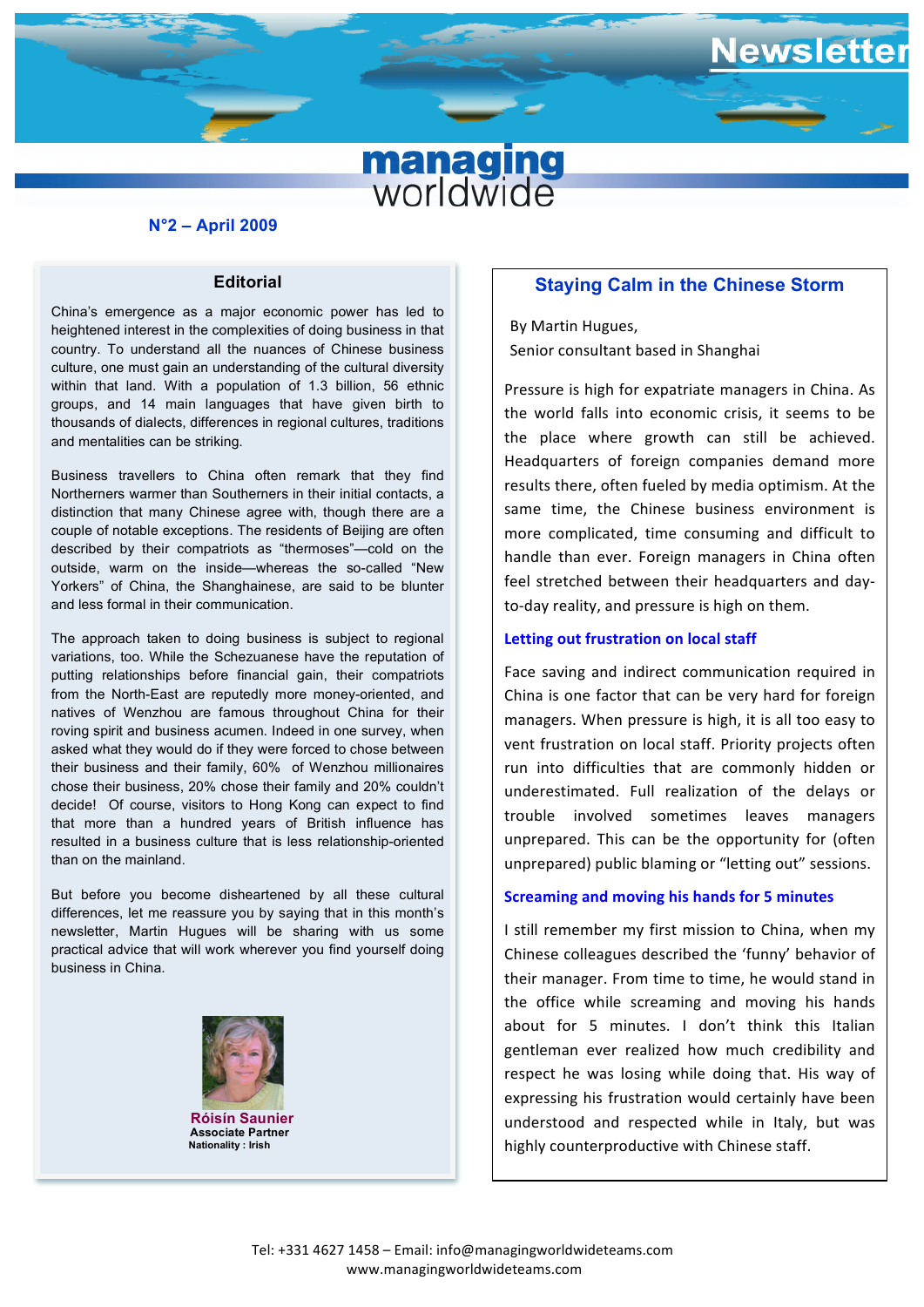# **managing**<br>worldwide

### **N°2 – April 2009**

### **Editorial**

culture, one must gain an understanding of the cultural diversity China's emergence as a major economic power has led to heightened interest in the complexities of doing business in that country. To understand all the nuances of Chinese business within that land. With a population of 1.3 billion, 56 ethnic groups, and 14 main languages that have given birth to thousands of dialects, differences in regional cultures, traditions and mentalities can be striking.

 Business travellers to China often remark that they find Northerners warmer than Southerners in their initial contacts, a distinction that many Chinese agree with, though there are a couple of notable exceptions. The residents of Beijing are often described by their compatriots as "thermoses"—cold on the outside, warm on the inside—whereas the so-called "New Yorkers" of China, the Shanghainese, are said to be blunter and less formal in their communication.

The approach taken to doing business is subject to regional variations, too. While the Schezuanese have the reputation of putting relationships before financial gain, their compatriots from the North-East are reputedly more money-oriented, and natives of Wenzhou are famous throughout China for their roving spirit and business acumen. Indeed in one survey, when asked what they would do if they were forced to chose between their business and their family, 60% of Wenzhou millionaires chose their business, 20% chose their family and 20% couldn't decide! Of course, visitors to Hong Kong can expect to find that more than a hundred years of British influence has resulted in a business culture that is less relationship-oriented than on the mainland.

But before you become disheartened by all these cultural differences, let me reassure you by saying that in this month's newsletter, Martin Hugues will be sharing with us some practical advice that will work wherever you find yourself doing business in China.



 **Róisín Saunier Associate Partner Nationality : Irish**

## **Staying Calm in the Chinese Storm**

ewsletter

By Martin Hugues, Senior consultant based in Shanghai

Pressure is high for expatriate managers in China. As the world falls into economic crisis, it seems to be the place where growth can still be achieved. Headquarters of foreign companies demand more results there, often fueled by media optimism. At the same time, the Chinese business environment is more complicated, time consuming and difficult to handle than ever. Foreign managers in China often feel stretched between their headquarters and dayto-day reality, and pressure is high on them.

### **Letting out frustration on local staff**

Face saving and indirect communication required in China is one factor that can be very hard for foreign managers. When pressure is high, it is all too easy to vent frustration on local staff. Priority projects often run into difficulties that are commonly hidden or underestimated. Full realization of the delays or trouble involved sometimes leaves managers unprepared. This can be the opportunity for (often unprepared) public blaming or "letting out" sessions.

### **Screaming and moving his hands for 5 minutes**

I still remember my first mission to China, when my Chinese colleagues described the 'funny' behavior of their manager. From time to time, he would stand in the office while screaming and moving his hands about for 5 minutes. I don't think this Italian gentleman ever realized how much credibility and respect he was losing while doing that. His way of expressing his frustration would certainly have been understood and respected while in Italy, but was highly counterproductive with Chinese staff.